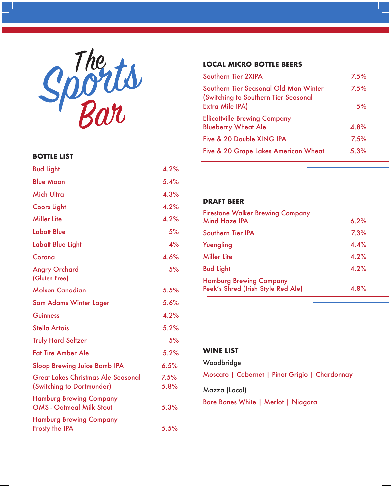

#### **BOTTLE LIST**

| <b>Bud Light</b>                                                  | 4.2%         |
|-------------------------------------------------------------------|--------------|
| <b>Blue Moon</b>                                                  | 5.4%         |
| <b>Mich Ultra</b>                                                 | 4.3%         |
| <b>Coors Light</b>                                                | 4.2%         |
| <b>Miller Lite</b>                                                | 4.2%         |
| <b>Labatt Blue</b>                                                | 5%           |
| <b>Labatt Blue Light</b>                                          | 4%           |
| Corona                                                            | 4.6%         |
| <b>Angry Orchard</b><br>(Gluten Free)                             | 5%           |
| <b>Molson Canadian</b>                                            | 5.5%         |
| Sam Adams Winter Lager                                            | 5.6%         |
| <b>Guinness</b>                                                   | 4.2%         |
| <b>Stella Artois</b>                                              | 5.2%         |
| <b>Truly Hard Seltzer</b>                                         | 5%           |
| <b>Fat Tire Amber Ale</b>                                         | 5.2%         |
| <b>Sloop Brewing Juice Bomb IPA</b>                               | 6.5%         |
| Great Lakes Christmas Ale Seasonal<br>(Switching to Dortmunder)   | 7.5%<br>5.8% |
| <b>Hamburg Brewing Company</b><br><b>OMS - Oatmeal Milk Stout</b> | 5.3%         |
| <b>Hamburg Brewing Company</b><br><b>Frosty the IPA</b>           | 5.5%         |

### **LOCAL MICRO BOTTLE BEERS**

| 7.5% |
|------|
| 7.5% |
| 5%   |
| 4.8% |
| 7.5% |
| 5.3% |
|      |

#### **DRAFT BEER**

| <b>Firestone Walker Brewing Company</b><br><b>Mind Haze IPA</b>      | 6.2% |
|----------------------------------------------------------------------|------|
| Southern Tier IPA                                                    | 7.3% |
| Yuengling                                                            | 4.4% |
| <b>Miller Lite</b>                                                   | 4.2% |
| <b>Bud Light</b>                                                     | 4.2% |
| <b>Hamburg Brewing Company</b><br>Peek's Shred (Irish Style Red Ale) | 4.8% |

### **WINE LIST**

Woodbridge

Moscato | Cabernet | Pinot Grigio | Chardonnay

Mazza (Local)

Bare Bones White | Merlot | Niagara